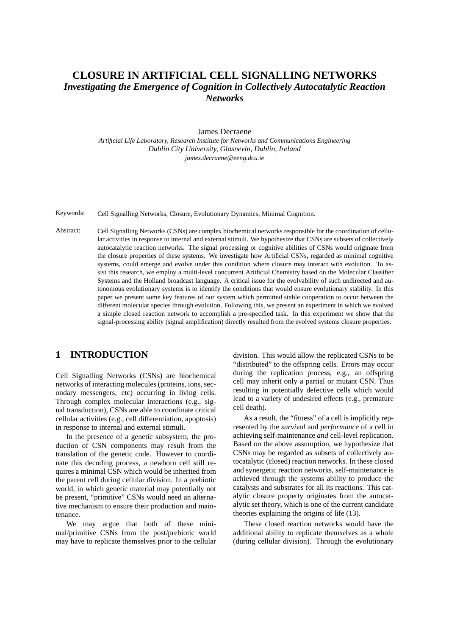# **CLOSURE IN ARTIFICIAL CELL SIGNALLING NETWORKS** *Investigating the Emergence of Cognition in Collectively Autocatalytic Reaction Networks*

#### James Decraene

*Artificial Life Laboratory, Research Institute for Networks and Communications Engineering Dublin City University, Glasnevin, Dublin, Ireland james.decraene@eeng.dcu.ie*

Keywords: Cell Signalling Networks, Closure, Evolutionary Dynamics, Minimal Cognition.

Abstract: Cell Signalling Networks (CSNs) are complex biochemical networks responsible for the coordination of cellular activities in response to internal and external stimuli. We hypothesize that CSNs are subsets of collectively autocatalytic reaction networks. The signal processing or cognitive abilities of CSNs would originate from the closure properties of these systems. We investigate how Artificial CSNs, regarded as minimal cognitive systems, could emerge and evolve under this condition where closure may interact with evolution. To assist this research, we employ a multi-level concurrent Artificial Chemistry based on the Molecular Classifier Systems and the Holland broadcast language. A critical issue for the evolvability of such undirected and autonomous evolutionary systems is to identify the conditions that would ensure evolutionary stability. In this paper we present some key features of our system which permitted stable cooperation to occur between the different molecular species through evolution. Following this, we present an experiment in which we evolved a simple closed reaction network to accomplish a pre-specified task. In this experiment we show that the signal-processing ability (signal amplification) directly resulted from the evolved systems closure properties.

## **1 INTRODUCTION**

Cell Signalling Networks (CSNs) are biochemical networks of interacting molecules (proteins, ions, secondary messengers, etc) occurring in living cells. Through complex molecular interactions (e.g., signal transduction), CSNs are able to coordinate critical cellular activities (e.g., cell differentiation, apoptosis) in response to internal and external stimuli.

In the presence of a genetic subsystem, the production of CSN components may result from the translation of the genetic code. However to coordinate this decoding process, a newborn cell still requires a minimal CSN which would be inherited from the parent cell during cellular division. In a prebiotic world, in which genetic material may potentially not be present, "primitive" CSNs would need an alternative mechanism to ensure their production and maintenance.

We may argue that both of these minimal/primitive CSNs from the post/prebiotic world may have to replicate themselves prior to the cellular division. This would allow the replicated CSNs to be "distributed" to the offspring cells. Errors may occur during the replication process, e.g., an offspring cell may inherit only a partial or mutant CSN. Thus resulting in potentially defective cells which would lead to a variety of undesired effects (e.g., premature cell death).

As a result, the "fitness" of a cell is implicitly represented by the *survival* and *performance* of a cell in achieving self-maintenance *and* cell-level replication. Based on the above assumption, we hypothesize that CSNs may be regarded as subsets of collectively autocatalytic (closed) reaction networks. In these closed and synergetic reaction networks, self-maintenance is achieved through the systems ability to produce the catalysts and substrates for all its reactions. This catalytic closure property originates from the autocatalytic set theory, which is one of the current candidate theories explaining the origins of life (13).

These closed reaction networks would have the additional ability to replicate themselves as a whole (during cellular division). Through the evolutionary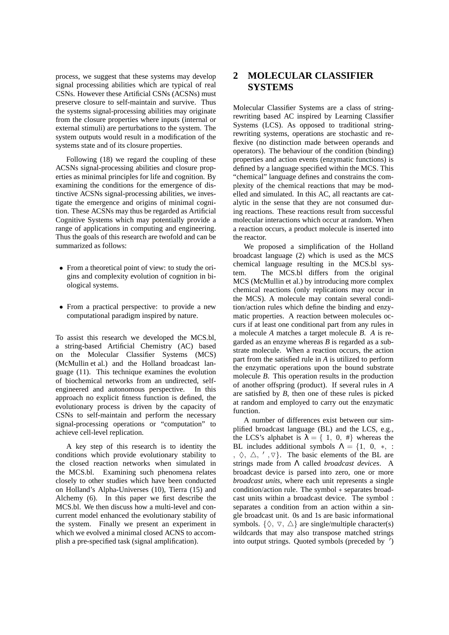process, we suggest that these systems may develop signal processing abilities which are typical of real CSNs. However these Artificial CSNs (ACSNs) must preserve closure to self-maintain and survive. Thus the systems signal-processing abilities may originate from the closure properties where inputs (internal or external stimuli) are perturbations to the system. The system outputs would result in a modification of the systems state and of its closure properties.

Following (18) we regard the coupling of these ACSNs signal-processing abilities and closure properties as minimal principles for life and cognition. By examining the conditions for the emergence of distinctive ACSNs signal-processing abilities, we investigate the emergence and origins of minimal cognition. These ACSNs may thus be regarded as Artificial Cognitive Systems which may potentially provide a range of applications in computing and engineering. Thus the goals of this research are twofold and can be summarized as follows:

- From a theoretical point of view: to study the origins and complexity evolution of cognition in biological systems.
- From a practical perspective: to provide a new computational paradigm inspired by nature.

To assist this research we developed the MCS.bl, a string-based Artificial Chemistry (AC) based on the Molecular Classifier Systems (MCS) (McMullin et al.) and the Holland broadcast language (11). This technique examines the evolution of biochemical networks from an undirected, selfengineered and autonomous perspective. In this approach no explicit fitness function is defined, the evolutionary process is driven by the capacity of CSNs to self-maintain and perform the necessary signal-processing operations or "computation" to achieve cell-level replication.

A key step of this research is to identity the conditions which provide evolutionary stability to the closed reaction networks when simulated in the MCS.bl. Examining such phenomena relates closely to other studies which have been conducted on Holland's Alpha-Universes (10), Tierra (15) and Alchemy (6). In this paper we first describe the MCS.bl. We then discuss how a multi-level and concurrent model enhanced the evolutionary stability of the system. Finally we present an experiment in which we evolved a minimal closed ACNS to accomplish a pre-specified task (signal amplification).

## **2 MOLECULAR CLASSIFIER SYSTEMS**

Molecular Classifier Systems are a class of stringrewriting based AC inspired by Learning Classifier Systems (LCS). As opposed to traditional stringrewriting systems, operations are stochastic and reflexive (no distinction made between operands and operators). The behaviour of the condition (binding) properties and action events (enzymatic functions) is defined by a language specified within the MCS. This "chemical" language defines and constrains the complexity of the chemical reactions that may be modelled and simulated. In this AC, all reactants are catalytic in the sense that they are not consumed during reactions. These reactions result from successful molecular interactions which occur at random. When a reaction occurs, a product molecule is inserted into the reactor.

We proposed a simplification of the Holland broadcast language (2) which is used as the MCS chemical language resulting in the MCS.bl system. The MCS.bl differs from the original MCS (McMullin et al.) by introducing more complex chemical reactions (only replications may occur in the MCS). A molecule may contain several condition/action rules which define the binding and enzymatic properties. A reaction between molecules occurs if at least one conditional part from any rules in a molecule *A* matches a target molecule *B*. *A* is regarded as an enzyme whereas *B* is regarded as a substrate molecule. When a reaction occurs, the action part from the satisfied rule in *A* is utilized to perform the enzymatic operations upon the bound substrate molecule *B*. This operation results in the production of another offspring (product). If several rules in *A* are satisfied by *B*, then one of these rules is picked at random and employed to carry out the enzymatic function.

A number of differences exist between our simplified broadcast language (BL) and the LCS, e.g., the LCS's alphabet is  $\lambda = \{ 1, 0, \# \}$  whereas the BL includes additional symbols  $\Lambda = \{1, 0, *, :$ ,  $\Diamond$ ,  $\triangle$ , ',  $\nabla$ }. The basic elements of the BL are strings made from Λ called *broadcast devices*. A broadcast device is parsed into zero, one or more *broadcast units*, where each unit represents a single condition/action rule. The symbol ∗ separates broadcast units within a broadcast device. The symbol : separates a condition from an action within a single broadcast unit. 0s and 1s are basic informational symbols.  $\{\Diamond, \nabla, \triangle\}$  are single/multiple character(s) wildcards that may also transpose matched strings into output strings. Quoted symbols (preceded by ′ )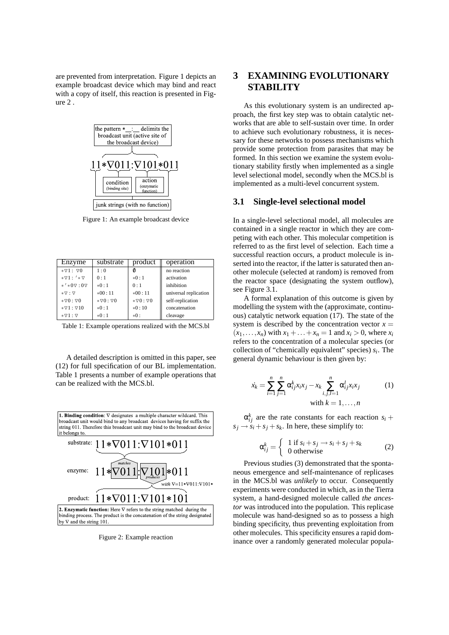are prevented from interpretation. Figure 1 depicts an example broadcast device which may bind and react with a copy of itself, this reaction is presented in Fig $ure 2$ 



Figure 1: An example broadcast device

| Enzyme                                  | substrate               | product                 | operation             |
|-----------------------------------------|-------------------------|-------------------------|-----------------------|
| $* \nabla 1$ : $\nabla 0$               | 1:0                     | 0                       | no reaction           |
| $*\nabla 1$ : ' $*\nabla$               | 0:1                     | $*0:1$                  | activation            |
| $*$ ' $*0$ $\triangledown$ : 0 $\nabla$ | $*0:1$                  | 0:1                     | inhibition            |
| $*\nabla : \nabla$                      | $*00:11$                | $*00:11$                | universal replication |
| $*0:00*$                                | $* \nabla 0 : \nabla 0$ | $* \nabla 0 : \nabla 0$ | self-replication      |
| $* \nabla 1 : \nabla 10$                | $*0:1$                  | $*0:10$                 | concatenation         |
| $*\triangledown 1:\triangledown$        | $*0:1$                  | $*0:$                   | cleavage              |

Table 1: Example operations realized with the MCS.bl

A detailed description is omitted in this paper, see (12) for full specification of our BL implementation. Table 1 presents a number of example operations that can be realized with the MCS.bl.



Figure 2: Example reaction

## **3 EXAMINING EVOLUTIONARY STABILITY**

As this evolutionary system is an undirected approach, the first key step was to obtain catalytic networks that are able to self-sustain over time. In order to achieve such evolutionary robustness, it is necessary for these networks to possess mechanisms which provide some protection from parasites that may be formed. In this section we examine the system evolutionary stability firstly when implemented as a single level selectional model, secondly when the MCS.bl is implemented as a multi-level concurrent system.

#### **3.1 Single-level selectional model**

In a single-level selectional model, all molecules are contained in a single reactor in which they are competing with each other. This molecular competition is referred to as the first level of selection. Each time a successful reaction occurs, a product molecule is inserted into the reactor, if the latter is saturated then another molecule (selected at random) is removed from the reactor space (designating the system outflow), see Figure 3.1.

A formal explanation of this outcome is given by modelling the system with the (approximate, continuous) catalytic network equation (17). The state of the system is described by the concentration vector  $x =$  $(x_1,...,x_n)$  with  $x_1 + ... + x_n = 1$  and  $x_i > 0$ , where  $x_i$ refers to the concentration of a molecular species (or collection of "chemically equivalent" species) *s<sup>i</sup>* . The general dynamic behaviour is then given by:

$$
\dot{x}_k = \sum_{i=1}^n \sum_{j=1}^n \alpha_{ij}^k x_i x_j - x_k \sum_{i,j,l=1}^n \alpha_{ij}^l x_i x_j
$$
\nwith  $k = 1, \ldots, n$ 

 $\alpha_{ij}^k$  are the rate constants for each reaction  $s_i$  +  $s_i \rightarrow s_i + s_j + s_k$ . In here, these simplify to:

$$
\alpha_{ij}^k = \begin{cases} 1 \text{ if } s_i + s_j \rightarrow s_i + s_j + s_k \\ 0 \text{ otherwise} \end{cases}
$$
 (2)

Previous studies (3) demonstrated that the spontaneous emergence and self-maintenance of replicases in the MCS.bl was *unlikely* to occur. Consequently experiments were conducted in which, as in the Tierra system, a hand-designed molecule called *the ancestor* was introduced into the population. This replicase molecule was hand-designed so as to possess a high binding specificity, thus preventing exploitation from other molecules. This specificity ensures a rapid dominance over a randomly generated molecular popula-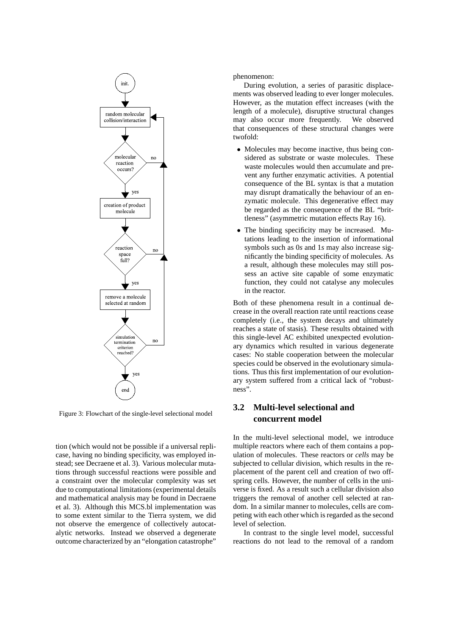

Figure 3: Flowchart of the single-level selectional model

tion (which would not be possible if a universal replicase, having no binding specificity, was employed instead; see Decraene et al. 3). Various molecular mutations through successful reactions were possible and a constraint over the molecular complexity was set due to computational limitations (experimental details and mathematical analysis may be found in Decraene et al. 3). Although this MCS.bl implementation was to some extent similar to the Tierra system, we did not observe the emergence of collectively autocatalytic networks. Instead we observed a degenerate outcome characterized by an "elongation catastrophe"

phenomenon:

During evolution, a series of parasitic displacements was observed leading to ever longer molecules. However, as the mutation effect increases (with the length of a molecule), disruptive structural changes may also occur more frequently. We observed that consequences of these structural changes were twofold:

- Molecules may become inactive, thus being considered as substrate or waste molecules. These waste molecules would then accumulate and prevent any further enzymatic activities. A potential consequence of the BL syntax is that a mutation may disrupt dramatically the behaviour of an enzymatic molecule. This degenerative effect may be regarded as the consequence of the BL "brittleness" (asymmetric mutation effects Ray 16).
- The binding specificity may be increased. Mutations leading to the insertion of informational symbols such as 0*s* and 1*s* may also increase significantly the binding specificity of molecules. As a result, although these molecules may still possess an active site capable of some enzymatic function, they could not catalyse any molecules in the reactor.

Both of these phenomena result in a continual decrease in the overall reaction rate until reactions cease completely (i.e., the system decays and ultimately reaches a state of stasis). These results obtained with this single-level AC exhibited unexpected evolutionary dynamics which resulted in various degenerate cases: No stable cooperation between the molecular species could be observed in the evolutionary simulations. Thus this first implementation of our evolutionary system suffered from a critical lack of "robustness".

## **3.2 Multi-level selectional and concurrent model**

In the multi-level selectional model, we introduce multiple reactors where each of them contains a population of molecules. These reactors or *cells* may be subjected to cellular division, which results in the replacement of the parent cell and creation of two offspring cells. However, the number of cells in the universe is fixed. As a result such a cellular division also triggers the removal of another cell selected at random. In a similar manner to molecules, cells are competing with each other which is regarded as the second level of selection.

In contrast to the single level model, successful reactions do not lead to the removal of a random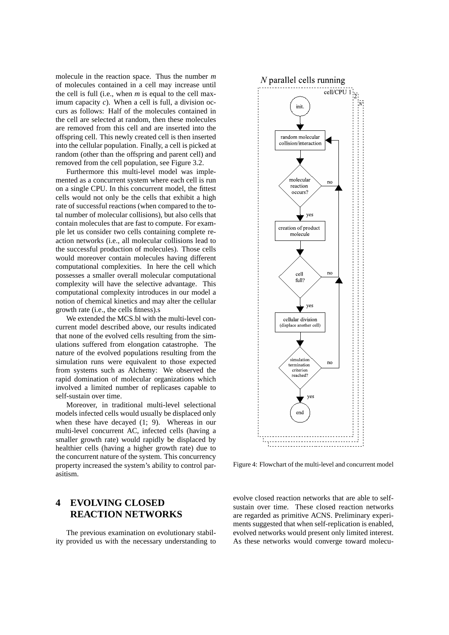molecule in the reaction space. Thus the number *m* of molecules contained in a cell may increase until the cell is full (i.e., when *m* is equal to the cell maximum capacity *c*). When a cell is full, a division occurs as follows: Half of the molecules contained in the cell are selected at random, then these molecules are removed from this cell and are inserted into the offspring cell. This newly created cell is then inserted into the cellular population. Finally, a cell is picked at random (other than the offspring and parent cell) and removed from the cell population, see Figure 3.2.

Furthermore this multi-level model was implemented as a concurrent system where each cell is run on a single CPU. In this concurrent model, the fittest cells would not only be the cells that exhibit a high rate of successful reactions (when compared to the total number of molecular collisions), but also cells that contain molecules that are fast to compute. For example let us consider two cells containing complete reaction networks (i.e., all molecular collisions lead to the successful production of molecules). Those cells would moreover contain molecules having different computational complexities. In here the cell which possesses a smaller overall molecular computational complexity will have the selective advantage. This computational complexity introduces in our model a notion of chemical kinetics and may alter the cellular growth rate (i.e., the cells fitness).s

We extended the MCS.bl with the multi-level concurrent model described above, our results indicated that none of the evolved cells resulting from the simulations suffered from elongation catastrophe. The nature of the evolved populations resulting from the simulation runs were equivalent to those expected from systems such as Alchemy: We observed the rapid domination of molecular organizations which involved a limited number of replicases capable to self-sustain over time.

Moreover, in traditional multi-level selectional models infected cells would usually be displaced only when these have decayed (1; 9). Whereas in our multi-level concurrent AC, infected cells (having a smaller growth rate) would rapidly be displaced by healthier cells (having a higher growth rate) due to the concurrent nature of the system. This concurrency property increased the system's ability to control parasitism.

# **4 EVOLVING CLOSED REACTION NETWORKS**

The previous examination on evolutionary stability provided us with the necessary understanding to



Figure 4: Flowchart of the multi-level and concurrent model

evolve closed reaction networks that are able to selfsustain over time. These closed reaction networks are regarded as primitive ACNS. Preliminary experiments suggested that when self-replication is enabled, evolved networks would present only limited interest. As these networks would converge toward molecu-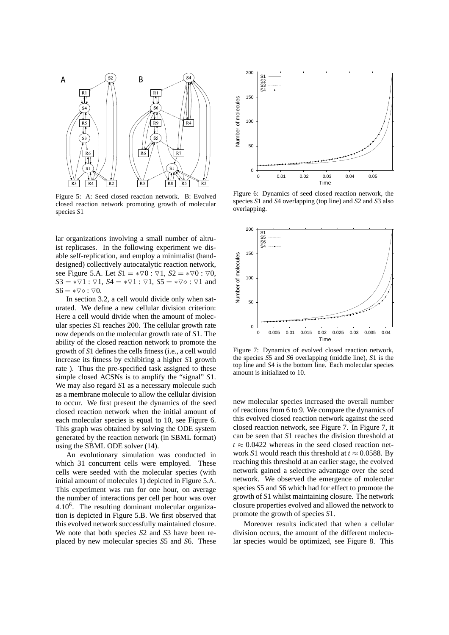

Figure 5: A: Seed closed reaction network. B: Evolved closed reaction network promoting growth of molecular species *S*1

lar organizations involving a small number of altruist replicases. In the following experiment we disable self-replication, and employ a minimalist (handdesigned) collectively autocatalytic reaction network, see Figure 5.A. Let  $S1 = * \nabla 0$ :  $\nabla 1$ ,  $S2 = * \nabla 0$ :  $\nabla 0$ ,  $S3 = * \nabla 1$ :  $\nabla 1$ ,  $S4 = * \nabla 1$ :  $\nabla 1$ ,  $S5 = * \nabla \diamond$ :  $\nabla 1$  and  $S6 = * \nabla \diamond : \nabla 0.$ 

In section 3.2, a cell would divide only when saturated. We define a new cellular division criterion: Here a cell would divide when the amount of molecular species *S*1 reaches 200. The cellular growth rate now depends on the molecular growth rate of *S*1. The ability of the closed reaction network to promote the growth of *S*1 defines the cells fitness (i.e., a cell would increase its fitness by exhibiting a higher *S*1 growth rate ). Thus the pre-specified task assigned to these simple closed ACSNs is to amplify the "signal" *S*1. We may also regard *S*1 as a necessary molecule such as a membrane molecule to allow the cellular division to occur. We first present the dynamics of the seed closed reaction network when the initial amount of each molecular species is equal to 10, see Figure 6. This graph was obtained by solving the ODE system generated by the reaction network (in SBML format) using the SBML ODE solver (14).

An evolutionary simulation was conducted in which 31 concurrent cells were employed. These cells were seeded with the molecular species (with initial amount of molecules 1) depicted in Figure 5.A. This experiment was run for one hour, on average the number of interactions per cell per hour was over 4.10<sup>6</sup> . The resulting dominant molecular organization is depicted in Figure 5.B. We first observed that this evolved network successfully maintained closure. We note that both species *S*2 and *S*3 have been replaced by new molecular species *S*5 and *S*6. These



Figure 6: Dynamics of seed closed reaction network, the species *S*1 and *S*4 overlapping (top line) and *S*2 and *S*3 also overlapping.



Figure 7: Dynamics of evolved closed reaction network, the species *S*5 and *S*6 overlapping (middle line), *S*1 is the top line and *S*4 is the bottom line. Each molecular species amount is initialized to 10.

new molecular species increased the overall number of reactions from 6 to 9. We compare the dynamics of this evolved closed reaction network against the seed closed reaction network, see Figure 7. In Figure 7, it can be seen that *S*1 reaches the division threshold at  $t \approx 0.0422$  whereas in the seed closed reaction network *S*1 would reach this threshold at  $t \approx 0.0588$ . By reaching this threshold at an earlier stage, the evolved network gained a selective advantage over the seed network. We observed the emergence of molecular species *S*5 and *S*6 which had for effect to promote the growth of *S*1 whilst maintaining closure. The network closure properties evolved and allowed the network to promote the growth of species *S*1.

Moreover results indicated that when a cellular division occurs, the amount of the different molecular species would be optimized, see Figure 8. This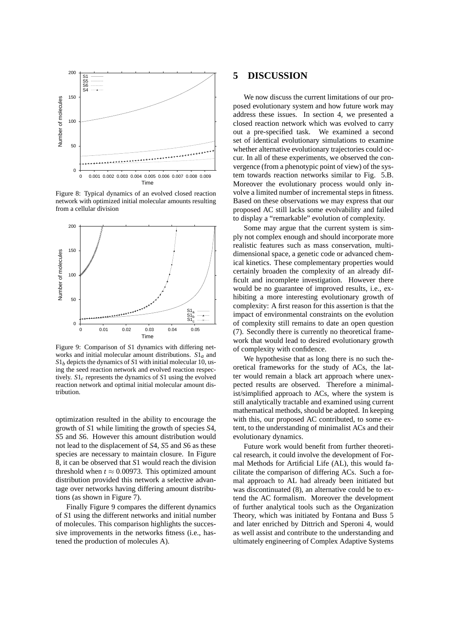

Figure 8: Typical dynamics of an evolved closed reaction network with optimized initial molecular amounts resulting from a cellular division



Figure 9: Comparison of *S*1 dynamics with differing networks and initial molecular amount distributions. *S*1*a* and  $S1<sub>b</sub>$  depicts the dynamics of *S*1 with initial molecular 10, using the seed reaction network and evolved reaction respectively. *S*1*c* represents the dynamics of *S*1 using the evolved reaction network and optimal initial molecular amount distribution.

optimization resulted in the ability to encourage the growth of *S*1 while limiting the growth of species *S*4, *S*5 and *S*6. However this amount distribution would not lead to the displacement of *S*4, *S*5 and *S*6 as these species are necessary to maintain closure. In Figure 8, it can be observed that *S*1 would reach the division threshold when  $t \approx 0.00973$ . This optimized amount distribution provided this network a selective advantage over networks having differing amount distributions (as shown in Figure 7).

Finally Figure 9 compares the different dynamics of *S*1 using the different networks and initial number of molecules. This comparison highlights the successive improvements in the networks fitness (i.e., hastened the production of molecules A).

#### **5 DISCUSSION**

We now discuss the current limitations of our proposed evolutionary system and how future work may address these issues. In section 4, we presented a closed reaction network which was evolved to carry out a pre-specified task. We examined a second set of identical evolutionary simulations to examine whether alternative evolutionary trajectories could occur. In all of these experiments, we observed the convergence (from a phenotypic point of view) of the system towards reaction networks similar to Fig. 5.B. Moreover the evolutionary process would only involve a limited number of incremental steps in fitness. Based on these observations we may express that our proposed AC still lacks some evolvability and failed to display a "remarkable" evolution of complexity.

Some may argue that the current system is simply not complex enough and should incorporate more realistic features such as mass conservation, multidimensional space, a genetic code or advanced chemical kinetics. These complementary properties would certainly broaden the complexity of an already difficult and incomplete investigation. However there would be no guarantee of improved results, i.e., exhibiting a more interesting evolutionary growth of complexity: A first reason for this assertion is that the impact of environmental constraints on the evolution of complexity still remains to date an open question (7). Secondly there is currently no theoretical framework that would lead to desired evolutionary growth of complexity with confidence.

We hypothesise that as long there is no such theoretical frameworks for the study of ACs, the latter would remain a black art approach where unexpected results are observed. Therefore a minimalist/simplified approach to ACs, where the system is still analytically tractable and examined using current mathematical methods, should be adopted. In keeping with this, our proposed AC contributed, to some extent, to the understanding of minimalist ACs and their evolutionary dynamics.

Future work would benefit from further theoretical research, it could involve the development of Formal Methods for Artificial Life (AL), this would facilitate the comparison of differing ACs. Such a formal approach to AL had already been initiated but was discontinuated (8), an alternative could be to extend the AC formalism. Moreover the development of further analytical tools such as the Organization Theory, which was initiated by Fontana and Buss 5 and later enriched by Dittrich and Speroni 4, would as well assist and contribute to the understanding and ultimately engineering of Complex Adaptive Systems